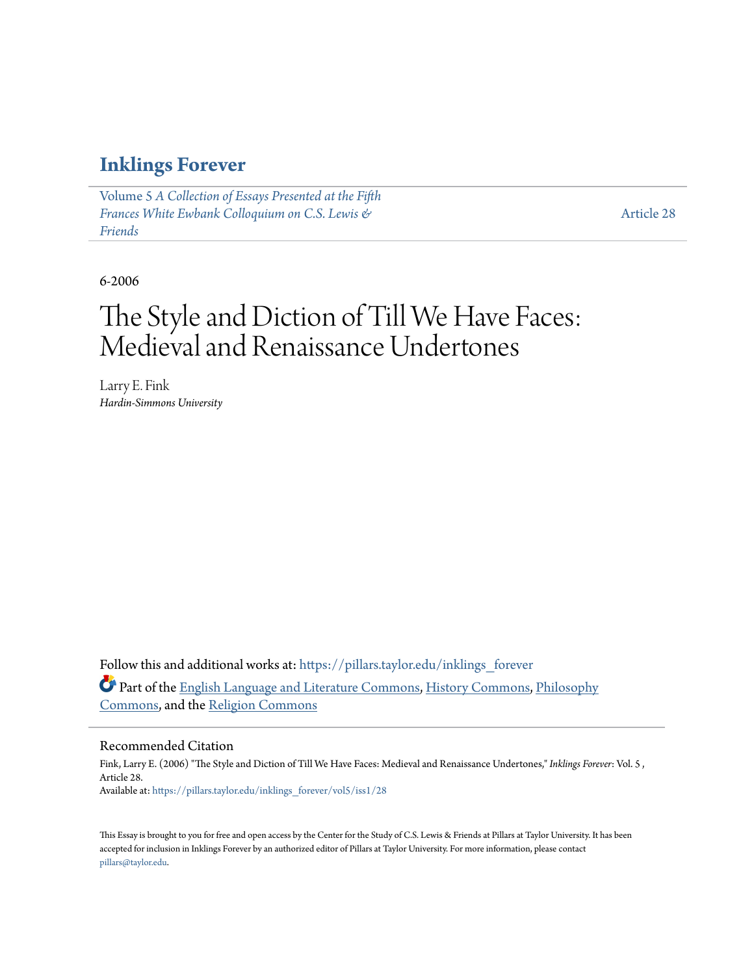### **[Inklings Forever](https://pillars.taylor.edu/inklings_forever?utm_source=pillars.taylor.edu%2Finklings_forever%2Fvol5%2Fiss1%2F28&utm_medium=PDF&utm_campaign=PDFCoverPages)**

Volume 5 *[A Collection of Essays Presented at the Fifth](https://pillars.taylor.edu/inklings_forever/vol5?utm_source=pillars.taylor.edu%2Finklings_forever%2Fvol5%2Fiss1%2F28&utm_medium=PDF&utm_campaign=PDFCoverPages) [Frances White Ewbank Colloquium on C.S. Lewis &](https://pillars.taylor.edu/inklings_forever/vol5?utm_source=pillars.taylor.edu%2Finklings_forever%2Fvol5%2Fiss1%2F28&utm_medium=PDF&utm_campaign=PDFCoverPages) [Friends](https://pillars.taylor.edu/inklings_forever/vol5?utm_source=pillars.taylor.edu%2Finklings_forever%2Fvol5%2Fiss1%2F28&utm_medium=PDF&utm_campaign=PDFCoverPages)*

[Article 28](https://pillars.taylor.edu/inklings_forever/vol5/iss1/28?utm_source=pillars.taylor.edu%2Finklings_forever%2Fvol5%2Fiss1%2F28&utm_medium=PDF&utm_campaign=PDFCoverPages)

6-2006

# The Style and Diction of Till We Have Faces: Medieval and Renaissance Undertones

Larry E. Fink *Hardin-Simmons University*

Follow this and additional works at: [https://pillars.taylor.edu/inklings\\_forever](https://pillars.taylor.edu/inklings_forever?utm_source=pillars.taylor.edu%2Finklings_forever%2Fvol5%2Fiss1%2F28&utm_medium=PDF&utm_campaign=PDFCoverPages) Part of the [English Language and Literature Commons](http://network.bepress.com/hgg/discipline/455?utm_source=pillars.taylor.edu%2Finklings_forever%2Fvol5%2Fiss1%2F28&utm_medium=PDF&utm_campaign=PDFCoverPages), [History Commons,](http://network.bepress.com/hgg/discipline/489?utm_source=pillars.taylor.edu%2Finklings_forever%2Fvol5%2Fiss1%2F28&utm_medium=PDF&utm_campaign=PDFCoverPages) [Philosophy](http://network.bepress.com/hgg/discipline/525?utm_source=pillars.taylor.edu%2Finklings_forever%2Fvol5%2Fiss1%2F28&utm_medium=PDF&utm_campaign=PDFCoverPages) [Commons,](http://network.bepress.com/hgg/discipline/525?utm_source=pillars.taylor.edu%2Finklings_forever%2Fvol5%2Fiss1%2F28&utm_medium=PDF&utm_campaign=PDFCoverPages) and the [Religion Commons](http://network.bepress.com/hgg/discipline/538?utm_source=pillars.taylor.edu%2Finklings_forever%2Fvol5%2Fiss1%2F28&utm_medium=PDF&utm_campaign=PDFCoverPages)

#### Recommended Citation

Fink, Larry E. (2006) "The Style and Diction of Till We Have Faces: Medieval and Renaissance Undertones," *Inklings Forever*: Vol. 5 , Article 28. Available at: [https://pillars.taylor.edu/inklings\\_forever/vol5/iss1/28](https://pillars.taylor.edu/inklings_forever/vol5/iss1/28?utm_source=pillars.taylor.edu%2Finklings_forever%2Fvol5%2Fiss1%2F28&utm_medium=PDF&utm_campaign=PDFCoverPages)

This Essay is brought to you for free and open access by the Center for the Study of C.S. Lewis & Friends at Pillars at Taylor University. It has been accepted for inclusion in Inklings Forever by an authorized editor of Pillars at Taylor University. For more information, please contact [pillars@taylor.edu.](mailto:pillars@taylor.edu)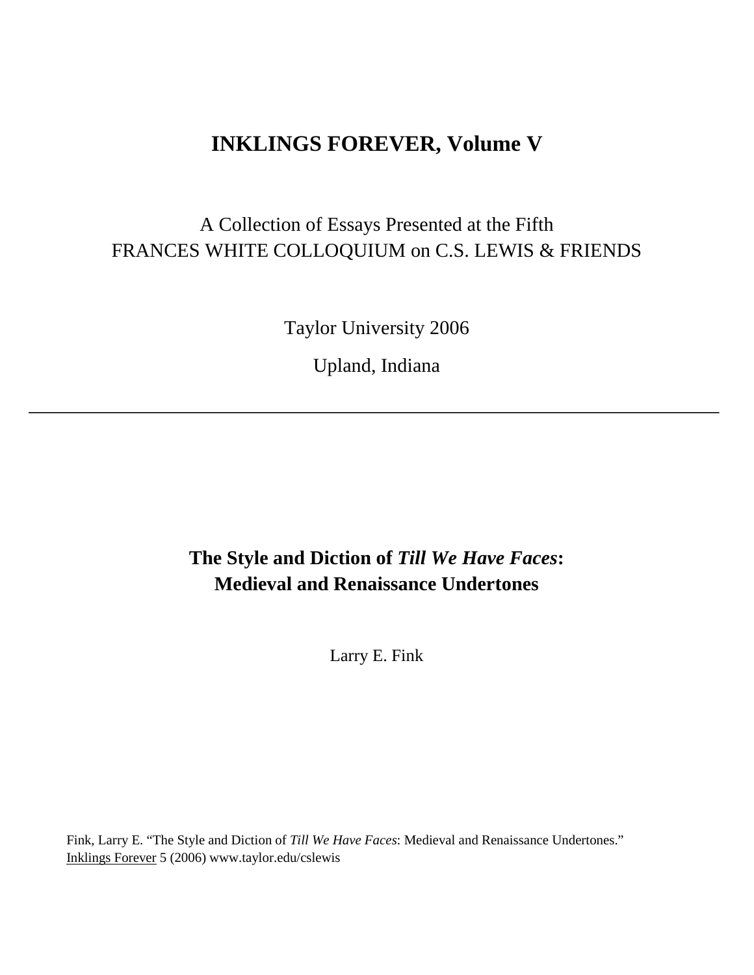### **INKLINGS FOREVER, Volume V**

## A Collection of Essays Presented at the Fifth FRANCES WHITE COLLOQUIUM on C.S. LEWIS & FRIENDS

Taylor University 2006

Upland, Indiana

### **The Style and Diction of** *Till We Have Faces***: Medieval and Renaissance Undertones**

Larry E. Fink

Fink, Larry E. "The Style and Diction of *Till We Have Faces*: Medieval and Renaissance Undertones." Inklings Forever 5 (2006) www.taylor.edu/cslewis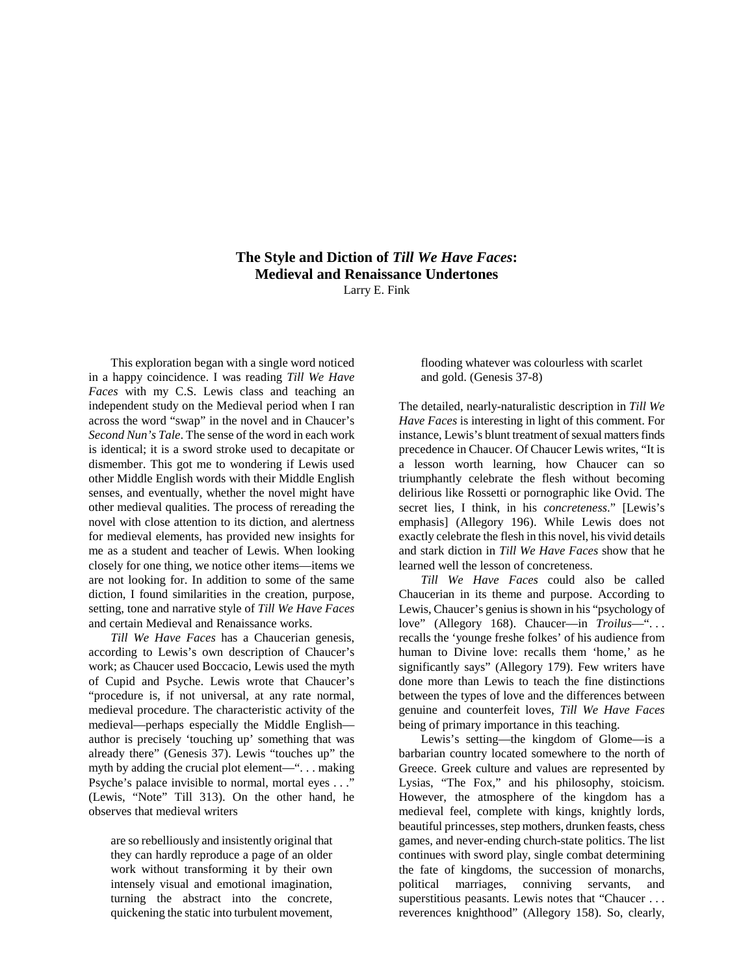### **The Style and Diction of** *Till We Have Faces***: Medieval and Renaissance Undertones** Larry E. Fink

This exploration began with a single word noticed in a happy coincidence. I was reading *Till We Have Faces* with my C.S. Lewis class and teaching an independent study on the Medieval period when I ran across the word "swap" in the novel and in Chaucer's *Second Nun's Tale*. The sense of the word in each work is identical; it is a sword stroke used to decapitate or dismember. This got me to wondering if Lewis used other Middle English words with their Middle English senses, and eventually, whether the novel might have other medieval qualities. The process of rereading the novel with close attention to its diction, and alertness for medieval elements, has provided new insights for me as a student and teacher of Lewis. When looking closely for one thing, we notice other items—items we are not looking for. In addition to some of the same diction, I found similarities in the creation, purpose, setting, tone and narrative style of *Till We Have Faces* and certain Medieval and Renaissance works.

*Till We Have Faces* has a Chaucerian genesis, according to Lewis's own description of Chaucer's work; as Chaucer used Boccacio, Lewis used the myth of Cupid and Psyche. Lewis wrote that Chaucer's "procedure is, if not universal, at any rate normal, medieval procedure. The characteristic activity of the medieval—perhaps especially the Middle English author is precisely 'touching up' something that was already there" (Genesis 37). Lewis "touches up" the myth by adding the crucial plot element—". . . making Psyche's palace invisible to normal, mortal eyes . . ." (Lewis, "Note" Till 313). On the other hand, he observes that medieval writers

are so rebelliously and insistently original that they can hardly reproduce a page of an older work without transforming it by their own intensely visual and emotional imagination, turning the abstract into the concrete, quickening the static into turbulent movement,

flooding whatever was colourless with scarlet and gold. (Genesis 37-8)

The detailed, nearly-naturalistic description in *Till We Have Faces* is interesting in light of this comment. For instance, Lewis's blunt treatment of sexual matters finds precedence in Chaucer. Of Chaucer Lewis writes, "It is a lesson worth learning, how Chaucer can so triumphantly celebrate the flesh without becoming delirious like Rossetti or pornographic like Ovid. The secret lies, I think, in his *concreteness*." [Lewis's emphasis] (Allegory 196). While Lewis does not exactly celebrate the flesh in this novel, his vivid details and stark diction in *Till We Have Faces* show that he learned well the lesson of concreteness.

*Till We Have Faces* could also be called Chaucerian in its theme and purpose. According to Lewis, Chaucer's genius is shown in his "psychology of love" (Allegory 168). Chaucer—in *Troilus*—". . . recalls the 'younge freshe folkes' of his audience from human to Divine love: recalls them 'home,' as he significantly says" (Allegory 179). Few writers have done more than Lewis to teach the fine distinctions between the types of love and the differences between genuine and counterfeit loves*, Till We Have Faces* being of primary importance in this teaching.

Lewis's setting—the kingdom of Glome—is a barbarian country located somewhere to the north of Greece. Greek culture and values are represented by Lysias, "The Fox," and his philosophy, stoicism. However, the atmosphere of the kingdom has a medieval feel, complete with kings, knightly lords, beautiful princesses, step mothers, drunken feasts, chess games, and never-ending church-state politics. The list continues with sword play, single combat determining the fate of kingdoms, the succession of monarchs, political marriages, conniving servants, and superstitious peasants. Lewis notes that "Chaucer . . . reverences knighthood" (Allegory 158). So, clearly,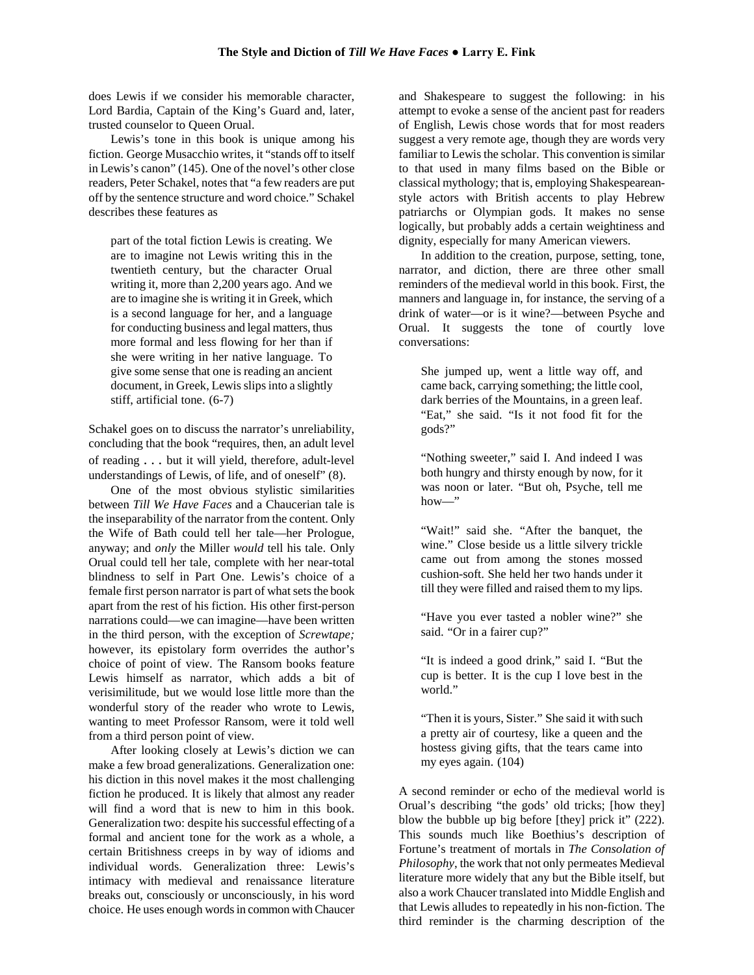does Lewis if we consider his memorable character, Lord Bardia, Captain of the King's Guard and, later, trusted counselor to Queen Orual.

Lewis's tone in this book is unique among his fiction. George Musacchio writes, it "stands off to itself in Lewis's canon" (145). One of the novel's other close readers, Peter Schakel, notes that "a few readers are put off by the sentence structure and word choice." Schakel describes these features as

part of the total fiction Lewis is creating. We are to imagine not Lewis writing this in the twentieth century, but the character Orual writing it, more than 2,200 years ago. And we are to imagine she is writing it in Greek, which is a second language for her, and a language for conducting business and legal matters, thus more formal and less flowing for her than if she were writing in her native language. To give some sense that one is reading an ancient document, in Greek, Lewis slips into a slightly stiff, artificial tone. (6-7)

Schakel goes on to discuss the narrator's unreliability, concluding that the book "requires, then, an adult level of reading . . . but it will yield, therefore, adult-level understandings of Lewis, of life, and of oneself" (8).

One of the most obvious stylistic similarities between *Till We Have Faces* and a Chaucerian tale is the inseparability of the narrator from the content. Only the Wife of Bath could tell her tale—her Prologue, anyway; and *only* the Miller *would* tell his tale. Only Orual could tell her tale, complete with her near-total blindness to self in Part One. Lewis's choice of a female first person narrator is part of what sets the book apart from the rest of his fiction. His other first-person narrations could—we can imagine—have been written in the third person, with the exception of *Screwtape;*  however, its epistolary form overrides the author's choice of point of view. The Ransom books feature Lewis himself as narrator, which adds a bit of verisimilitude, but we would lose little more than the wonderful story of the reader who wrote to Lewis, wanting to meet Professor Ransom, were it told well from a third person point of view.

After looking closely at Lewis's diction we can make a few broad generalizations. Generalization one: his diction in this novel makes it the most challenging fiction he produced. It is likely that almost any reader will find a word that is new to him in this book. Generalization two: despite his successful effecting of a formal and ancient tone for the work as a whole, a certain Britishness creeps in by way of idioms and individual words. Generalization three: Lewis's intimacy with medieval and renaissance literature breaks out, consciously or unconsciously, in his word choice. He uses enough words in common with Chaucer

and Shakespeare to suggest the following: in his attempt to evoke a sense of the ancient past for readers of English, Lewis chose words that for most readers suggest a very remote age, though they are words very familiar to Lewis the scholar. This convention is similar to that used in many films based on the Bible or classical mythology; that is, employing Shakespeareanstyle actors with British accents to play Hebrew patriarchs or Olympian gods. It makes no sense logically, but probably adds a certain weightiness and dignity, especially for many American viewers.

In addition to the creation, purpose, setting, tone, narrator, and diction, there are three other small reminders of the medieval world in this book. First, the manners and language in, for instance, the serving of a drink of water—or is it wine?—between Psyche and Orual. It suggests the tone of courtly love conversations:

She jumped up, went a little way off, and came back, carrying something; the little cool, dark berries of the Mountains, in a green leaf. "Eat," she said. "Is it not food fit for the gods?"

"Nothing sweeter," said I. And indeed I was both hungry and thirsty enough by now, for it was noon or later. "But oh, Psyche, tell me  $how$ 

"Wait!" said she. "After the banquet, the wine." Close beside us a little silvery trickle came out from among the stones mossed cushion-soft. She held her two hands under it till they were filled and raised them to my lips.

"Have you ever tasted a nobler wine?" she said. "Or in a fairer cup?"

"It is indeed a good drink," said I. "But the cup is better. It is the cup I love best in the world."

"Then it is yours, Sister." She said it with such a pretty air of courtesy, like a queen and the hostess giving gifts, that the tears came into my eyes again. (104)

A second reminder or echo of the medieval world is Orual's describing "the gods' old tricks; [how they] blow the bubble up big before [they] prick it" (222). This sounds much like Boethius's description of Fortune's treatment of mortals in *The Consolation of Philosophy*, the work that not only permeates Medieval literature more widely that any but the Bible itself, but also a work Chaucer translated into Middle English and that Lewis alludes to repeatedly in his non-fiction. The third reminder is the charming description of the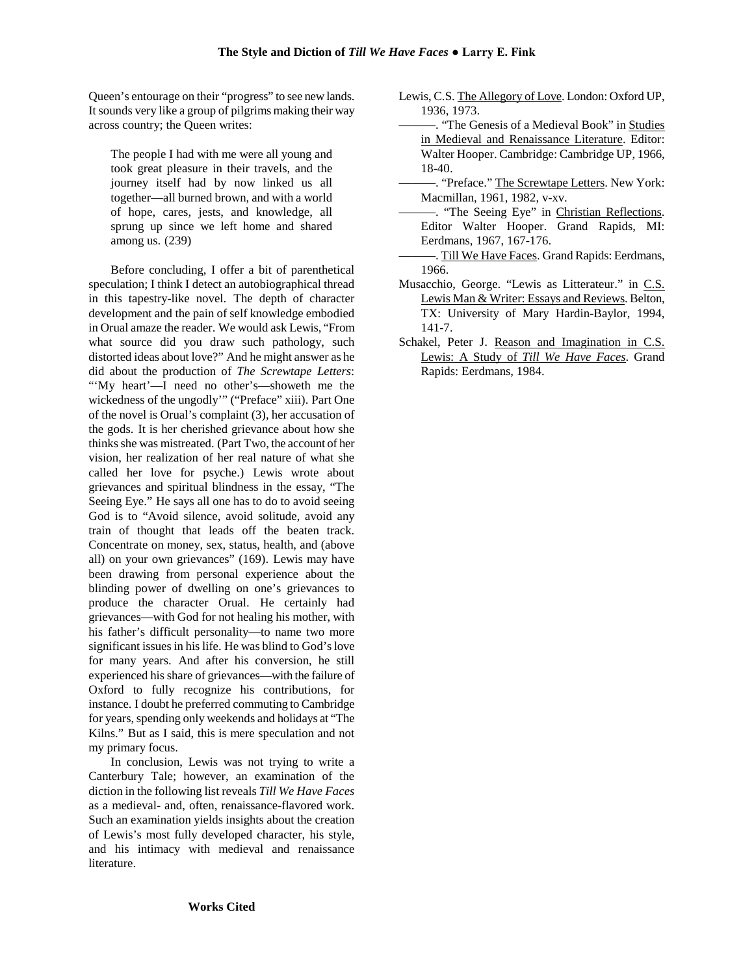Queen's entourage on their "progress" to see new lands. It sounds very like a group of pilgrims making their way across country; the Queen writes:

The people I had with me were all young and took great pleasure in their travels, and the journey itself had by now linked us all together—all burned brown, and with a world of hope, cares, jests, and knowledge, all sprung up since we left home and shared among us. (239)

Before concluding, I offer a bit of parenthetical speculation; I think I detect an autobiographical thread in this tapestry-like novel. The depth of character development and the pain of self knowledge embodied in Orual amaze the reader. We would ask Lewis, "From what source did you draw such pathology, such distorted ideas about love?" And he might answer as he did about the production of *The Screwtape Letters*: "'My heart'—I need no other's—showeth me the wickedness of the ungodly" ("Preface" xiii). Part One of the novel is Orual's complaint (3), her accusation of the gods. It is her cherished grievance about how she thinks she was mistreated. (Part Two, the account of her vision, her realization of her real nature of what she called her love for psyche.) Lewis wrote about grievances and spiritual blindness in the essay, "The Seeing Eye." He says all one has to do to avoid seeing God is to "Avoid silence, avoid solitude, avoid any train of thought that leads off the beaten track. Concentrate on money, sex, status, health, and (above all) on your own grievances" (169). Lewis may have been drawing from personal experience about the blinding power of dwelling on one's grievances to produce the character Orual. He certainly had grievances—with God for not healing his mother, with his father's difficult personality—to name two more significant issues in his life. He was blind to God's love for many years. And after his conversion, he still experienced his share of grievances—with the failure of Oxford to fully recognize his contributions, for instance. I doubt he preferred commuting to Cambridge for years, spending only weekends and holidays at "The Kilns." But as I said, this is mere speculation and not my primary focus.

In conclusion, Lewis was not trying to write a Canterbury Tale; however, an examination of the diction in the following list reveals *Till We Have Faces* as a medieval- and, often, renaissance-flavored work. Such an examination yields insights about the creation of Lewis's most fully developed character, his style, and his intimacy with medieval and renaissance literature.

- Lewis, C.S. The Allegory of Love. London: Oxford UP, 1936, 1973.
- ———. "The Genesis of a Medieval Book" in Studies in Medieval and Renaissance Literature. Editor: Walter Hooper. Cambridge: Cambridge UP, 1966, 18-40.
- -. "Preface." The Screwtape Letters. New York: Macmillan, 1961, 1982, v-xv.
- ———. "The Seeing Eye" in Christian Reflections. Editor Walter Hooper. Grand Rapids, MI: Eerdmans, 1967, 167-176.
- -. Till We Have Faces. Grand Rapids: Eerdmans, 1966.
- Musacchio, George. "Lewis as Litterateur." in C.S. Lewis Man & Writer: Essays and Reviews. Belton, TX: University of Mary Hardin-Baylor, 1994, 141-7.
- Schakel, Peter J. Reason and Imagination in C.S. Lewis: A Study of *Till We Have Faces*. Grand Rapids: Eerdmans, 1984.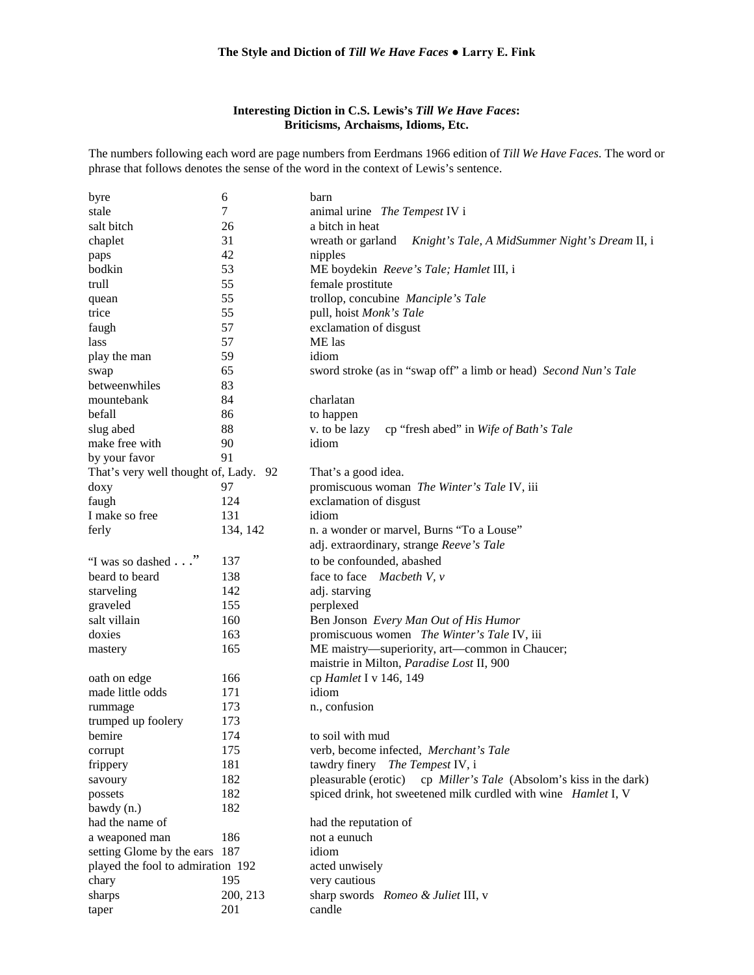#### **The Style and Diction of** *Till We Have Faces* **● Larry E. Fink**

#### **Interesting Diction in C.S. Lewis's** *Till We Have Faces***: Briticisms, Archaisms, Idioms, Etc.**

The numbers following each word are page numbers from Eerdmans 1966 edition of *Till We Have Faces*. The word or phrase that follows denotes the sense of the word in the context of Lewis's sentence.

| byre                                  | 6        | barn                                                                  |
|---------------------------------------|----------|-----------------------------------------------------------------------|
| stale                                 | 7        | animal urine The Tempest IV i                                         |
| salt bitch                            | 26       | a bitch in heat                                                       |
| chaplet                               | 31       | wreath or garland<br>Knight's Tale, A MidSummer Night's Dream II, i   |
| paps                                  | 42       | nipples                                                               |
| bodkin                                | 53       | ME boydekin Reeve's Tale; Hamlet III, i                               |
| trull                                 | 55       | female prostitute                                                     |
| quean                                 | 55       | trollop, concubine Manciple's Tale                                    |
| trice                                 | 55       | pull, hoist Monk's Tale                                               |
| faugh                                 | 57       | exclamation of disgust                                                |
| lass                                  | 57       | ME las                                                                |
| play the man                          | 59       | idiom                                                                 |
| swap                                  | 65       | sword stroke (as in "swap off" a limb or head) Second Nun's Tale      |
| betweenwhiles                         | 83       |                                                                       |
| mountebank                            | 84       | charlatan                                                             |
| befall                                | 86       | to happen                                                             |
| slug abed                             | 88       | v. to be lazy<br>cp "fresh abed" in Wife of Bath's Tale               |
| make free with                        | 90       | idiom                                                                 |
| by your favor                         | 91       |                                                                       |
| That's very well thought of, Lady. 92 |          | That's a good idea.                                                   |
| doxy                                  | 97       | promiscuous woman The Winter's Tale IV, iii                           |
| faugh                                 | 124      | exclamation of disgust                                                |
| I make so free                        | 131      | idiom                                                                 |
| ferly                                 | 134, 142 | n. a wonder or marvel, Burns "To a Louse"                             |
|                                       |          | adj. extraordinary, strange Reeve's Tale                              |
| "I was so dashed"                     | 137      | to be confounded, abashed                                             |
| beard to beard                        | 138      | face to face Macbeth V, v                                             |
| starveling                            | 142      | adj. starving                                                         |
| graveled                              | 155      | perplexed                                                             |
| salt villain                          | 160      | Ben Jonson Every Man Out of His Humor                                 |
| doxies                                | 163      | promiscuous women The Winter's Tale IV, iii                           |
|                                       | 165      | ME maistry—superiority, art—common in Chaucer;                        |
| mastery                               |          | maistrie in Milton, Paradise Lost II, 900                             |
|                                       |          |                                                                       |
| oath on edge                          | 166      | cp Hamlet I v 146, 149<br>idiom                                       |
| made little odds                      | 171      |                                                                       |
| rummage                               | 173      | n., confusion                                                         |
| trumped up foolery                    | 173      |                                                                       |
| bemire                                | 174      | to soil with mud                                                      |
| corrupt                               | 175      | verb, become infected, Merchant's Tale                                |
| frippery                              | 181      | tawdry finery<br>The Tempest IV, i                                    |
| savoury                               | 182      | pleasurable (erotic)<br>cp Miller's Tale (Absolom's kiss in the dark) |
| possets                               | 182      | spiced drink, hot sweetened milk curdled with wine Hamlet I, V        |
| bawdy (n.)                            | 182      |                                                                       |
| had the name of                       |          | had the reputation of                                                 |
| a weaponed man                        | 186      | not a eunuch                                                          |
| setting Glome by the ears 187         |          | idiom                                                                 |
| played the fool to admiration 192     |          | acted unwisely                                                        |
| chary                                 | 195      | very cautious                                                         |
| sharps                                | 200, 213 | sharp swords Romeo & Juliet III, v                                    |
| taper                                 | 201      | candle                                                                |